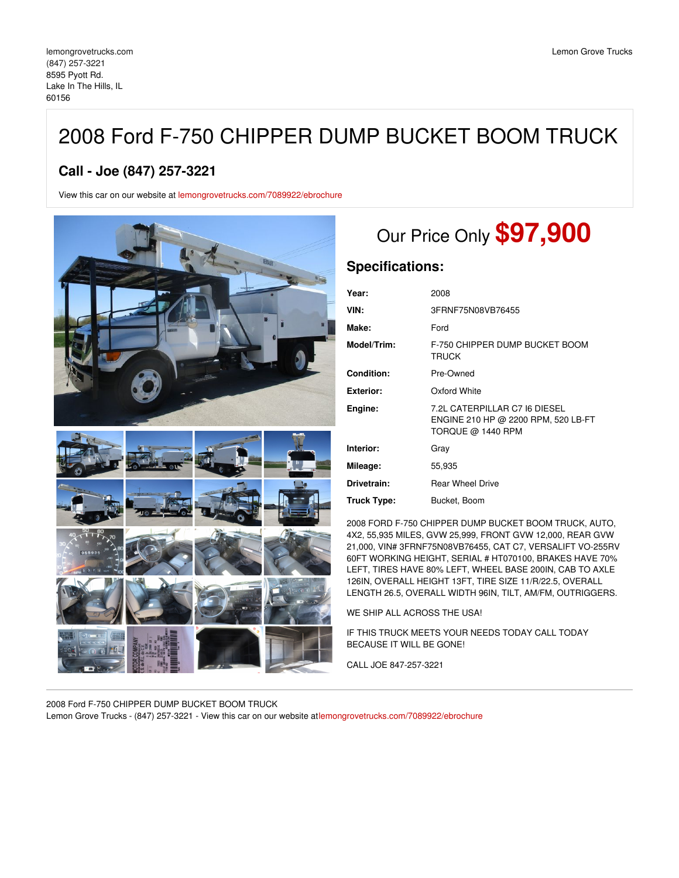# 2008 Ford F-750 CHIPPER DUMP BUCKET BOOM TRUCK

### **Call - Joe (847) 257-3221**

View this car on our website at [lemongrovetrucks.com/7089922/ebrochure](https://lemongrovetrucks.com/vehicle/7089922/2008-ford-f-750-chipper-dump-bucket-boom-truck-lake-in-the-hills-il-60156/7089922/ebrochure)



# Our Price Only **\$97,900**

### **Specifications:**

| Year:              | 2008                                                                                      |
|--------------------|-------------------------------------------------------------------------------------------|
| VIN:               | 3FRNF75N08VB76455                                                                         |
| Make:              | Ford                                                                                      |
| Model/Trim:        | F-750 CHIPPER DUMP BUCKET BOOM<br><b>TRUCK</b>                                            |
| Condition:         | Pre-Owned                                                                                 |
| <b>Exterior:</b>   | Oxford White                                                                              |
| Engine:            | 7.2L CATERPILLAR C7 I6 DIESEL<br>ENGINE 210 HP @ 2200 RPM, 520 LB-FT<br>TORQUE @ 1440 RPM |
| Interior:          | Gray                                                                                      |
| Mileage:           | 55,935                                                                                    |
| Drivetrain:        | <b>Rear Wheel Drive</b>                                                                   |
| <b>Truck Type:</b> | Bucket, Boom                                                                              |

2008 FORD F-750 CHIPPER DUMP BUCKET BOOM TRUCK, AUTO, 4X2, 55,935 MILES, GVW 25,999, FRONT GVW 12,000, REAR GVW 21,000, VIN# 3FRNF75N08VB76455, CAT C7, VERSALIFT VO-255RV 60FT WORKING HEIGHT, SERIAL # HT070100, BRAKES HAVE 70% LEFT, TIRES HAVE 80% LEFT, WHEEL BASE 200IN, CAB TO AXLE 126IN, OVERALL HEIGHT 13FT, TIRE SIZE 11/R/22.5, OVERALL LENGTH 26.5, OVERALL WIDTH 96IN, TILT, AM/FM, OUTRIGGERS.

WE SHIP ALL ACROSS THE USA!

IF THIS TRUCK MEETS YOUR NEEDS TODAY CALL TODAY BECAUSE IT WILL BE GONE!

CALL JOE 847-257-3221

2008 Ford F-750 CHIPPER DUMP BUCKET BOOM TRUCK Lemon Grove Trucks - (847) 257-3221 - View this car on our website at[lemongrovetrucks.com/7089922/ebrochure](https://lemongrovetrucks.com/vehicle/7089922/2008-ford-f-750-chipper-dump-bucket-boom-truck-lake-in-the-hills-il-60156/7089922/ebrochure)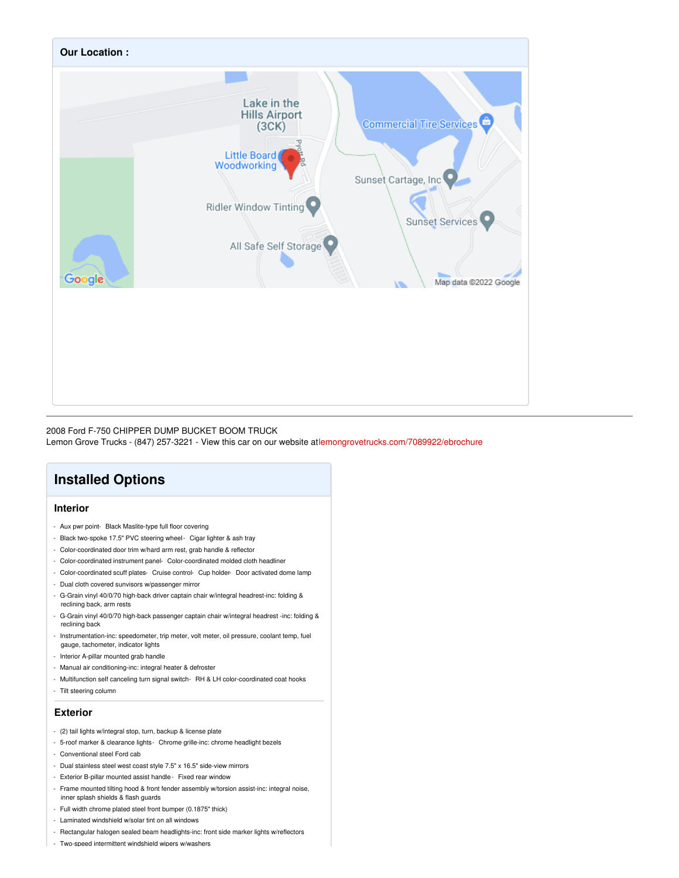

#### 2008 Ford F-750 CHIPPER DUMP BUCKET BOOM TRUCK

Lemon Grove Trucks - (847) 257-3221 - View this car on our website at[lemongrovetrucks.com/7089922/ebrochure](https://lemongrovetrucks.com/vehicle/7089922/2008-ford-f-750-chipper-dump-bucket-boom-truck-lake-in-the-hills-il-60156/7089922/ebrochure)

# **Installed Options**

#### **Interior**

- Aux pwr point- Black Maslite-type full floor covering
- Black two-spoke 17.5" PVC steering wheel- Cigar lighter & ash tray
- Color-coordinated door trim w/hard arm rest, grab handle & reflector
- Color-coordinated instrument panel- Color-coordinated molded cloth headliner
- Color-coordinated scuff plates- Cruise control- Cup holder- Door activated dome lamp
- Dual cloth covered sunvisors w/passenger mirror
- G-Grain vinyl 40/0/70 high-back driver captain chair w/integral headrest-inc: folding & reclining back, arm rests
- G-Grain vinyl 40/0/70 high-back passenger captain chair w/integral headrest -inc: folding & reclining back
- Instrumentation-inc: speedometer, trip meter, volt meter, oil pressure, coolant temp, fuel gauge, tachometer, indicator lights
- Interior A-pillar mounted grab handle
- Manual air conditioning-inc: integral heater & defroster
- Multifunction self canceling turn signal switch- RH & LH color-coordinated coat hooks
- Tilt steering column

#### **Exterior**

- (2) tail lights w/integral stop, turn, backup & license plate
- 5-roof marker & clearance lights- Chrome grille-inc: chrome headlight bezels
- Conventional steel Ford cab
- Dual stainless steel west coast style 7.5" x 16.5" side-view mirrors
- Exterior B-pillar mounted assist handle- Fixed rear window
- Frame mounted tilting hood & front fender assembly w/torsion assist-inc: integral noise, inner splash shields & flash guards
- Full width chrome plated steel front bumper (0.1875" thick)
- Laminated windshield w/solar tint on all windows
- Rectangular halogen sealed beam headlights-inc: front side marker lights w/reflectors
- Two-speed intermittent windshield wipers w/washers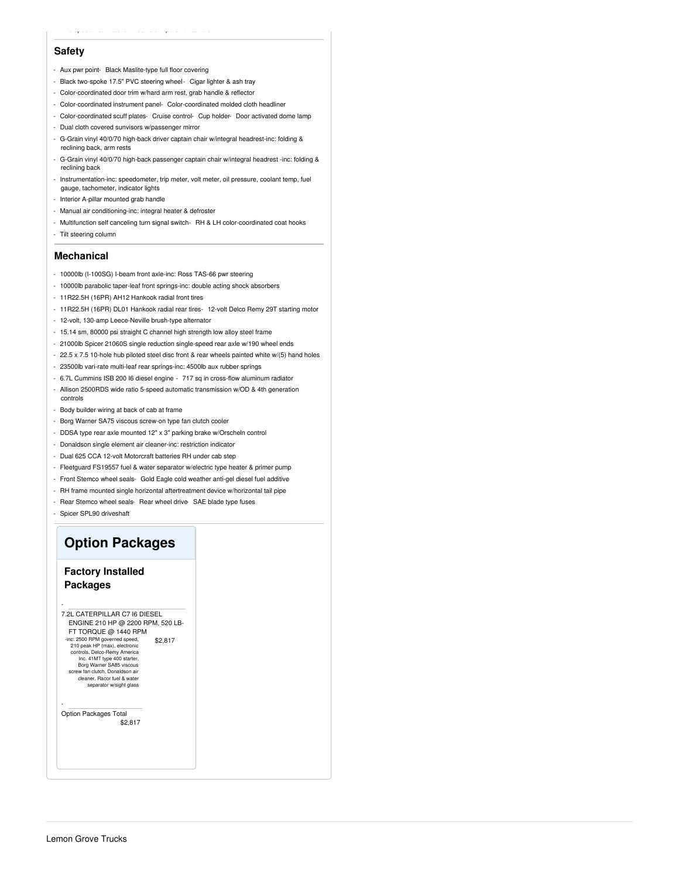#### **Safety**

- Aux pwr point- Black Maslite-type full floor covering
- Black two-spoke 17.5" PVC steering wheel- Cigar lighter & ash tray
- Color-coordinated door trim w/hard arm rest, grab handle & reflecto
- Color-coordinated instrument panel- Color-coordinated molded cloth headliner
- Color-coordinated scuff plates- Cruise control- Cup holder- Door activated dome lamp
- Dual cloth covered sunvisors w/passenger mirror
- G-Grain vinyl 40/0/70 high-back driver captain chair w/integral headrest-inc: folding &
- reclining back, arm rests - G-Grain vinyl 40/0/70 high-back passenger captain chair w/integral headrest -inc: folding & reclining back
- Instrumentation-inc: speedometer, trip meter, volt meter, oil pressure, coolant temp, fuel gauge, tachometer, indicator lights
- Interior A-pillar mounted grab handle
- Manual air conditioning-inc: integral heater & defroster
- Multifunction self canceling turn signal switch- RH & LH color-coordinated coat hooks
- Tilt steering column

#### **Mechanical**

- 10000lb (I-100SG) I-beam front axle-inc: Ross TAS-66 pwr steering
- 10000lb parabolic taper-leaf front springs-inc: double acting shock absorbers
- 11R22.5H (16PR) AH12 Hankook radial front tires
- 11R22.5H (16PR) DL01 Hankook radial rear tires- 12-volt Delco Remy 29T starting motor
- 12-volt, 130-amp Leece-Neville brush-type alternator
- 15.14 sm, 80000 psi straight C channel high strength low alloy steel frame
- 21000lb Spicer 21060S single reduction single-speed rear axle w/190 wheel ends
- 22.5 x 7.5 10-hole hub piloted steel disc front & rear wheels painted white w/(5) hand holes
- 23500lb vari-rate multi-leaf rear springs-inc: 4500lb aux rubber springs
- 6.7L Cummins ISB 200 I6 diesel engine 717 sq in cross-flow aluminum radiator
- Allison 2500RDS wide ratio 5-speed automatic transmission w/OD & 4th generation controls
- Body builder wiring at back of cab at frame
- Borg Warner SA75 viscous screw-on type fan clutch cooler
- DDSA type rear axle mounted 12" x 3" parking brake w/Orscheln control
- Donaldson single element air cleaner-inc: restriction indicator
- Dual 625 CCA 12-volt Motorcraft batteries RH under cab step
- Fleetguard FS19557 fuel & water separator w/electric type heater & primer pump
- Front Stemco wheel seals- Gold Eagle cold weather anti-gel diesel fuel additive
- RH frame mounted single horizontal aftertreatment device w/horizontal tail pipe
- Rear Stemco wheel seals- Rear wheel drive- SAE blade type fuses
- Spicer SPL90 driveshaft

## **Option Packages**

#### **Factory Installed Packages**

\$2,817 - 7.2L CATERPILLAR C7 I6 DIESEL ENGINE 210 HP @ 2200 RPM, 520 LB-FT TORQUE @ 1440 RPM -inc: 2500 RPM governed speed, 210 peak HP (max), electronic controls, Delco-Remy America Inc. 41MT type 400 starter, Borg Warner SA85 viscous screw fan clutch, Donaldson air cleaner, Racor fuel & water separator w/sight glass

\$2,817 Option Packages Total

-